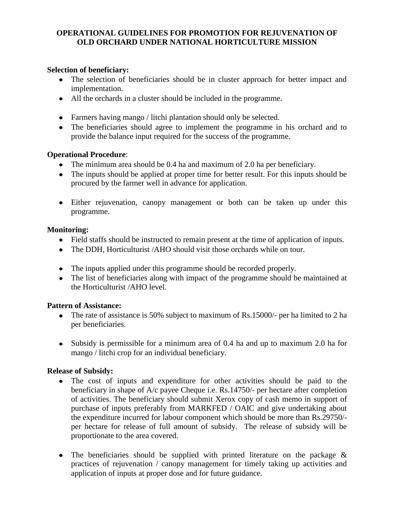### **OPERATIONAL GUIDELINES FOR PROMOTION FOR REJUVENATION OF OLD ORCHARD UNDER NATIONAL HORTICULTURE MISSION**

#### **Selection of beneficiary:**

- The selection of beneficiaries should be in cluster approach for better impact and implementation.
- All the orchards in a cluster should be included in the programme.
- Farmers having mango / litchi plantation should only be selected.
- The beneficiaries should agree to implement the programme in his orchard and to provide the balance input required for the success of the programme.

#### **Operational Procedure**:

- The minimum area should be 0.4 ha and maximum of 2.0 ha per beneficiary.
- The inputs should be applied at proper time for better result. For this inputs should be procured by the farmer well in advance for application.
- Either rejuvenation, canopy management or both can be taken up under this programme.

#### **Monitoring:**

- Field staffs should be instructed to remain present at the time of application of inputs.
- The DDH, Horticulturist /AHO should visit those orchards while on tour.
- The inputs applied under this programme should be recorded properly.
- The list of beneficiaries along with impact of the programme should be maintained at the Horticulturist /AHO level.

### **Pattern of Assistance:**

- The rate of assistance is 50% subject to maximum of Rs.15000/- per ha limited to 2 ha per beneficiaries.
- Subsidy is permissible for a minimum area of 0.4 ha and up to maximum 2.0 ha for mango / litchi crop for an individual beneficiary.

### **Release of Subsidy:**

- The cost of inputs and expenditure for other activities should be paid to the beneficiary in shape of A/c payee Cheque i.e. Rs.14750/- per hectare after completion of activities. The beneficiary should submit Xerox copy of cash memo in support of purchase of inputs preferably from MARKFED / OAIC and give undertaking about the expenditure incurred for labour component which should be more than Rs.29750/ per hectare for release of full amount of subsidy. The release of subsidy will be proportionate to the area covered.
- The beneficiaries should be supplied with printed literature on the package  $\&$  $\bullet$ practices of rejuvenation / canopy management for timely taking up activities and application of inputs at proper dose and for future guidance.